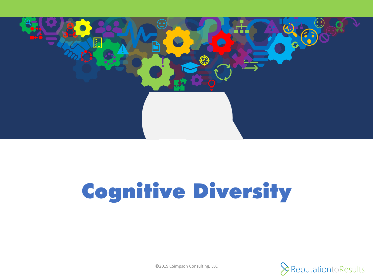

## Cognitive Diversity

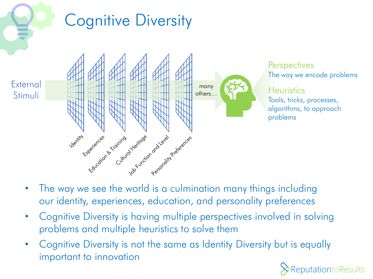

- The way we see the world is a culmination many things including our identity, experiences, education, and personality preferences
- Cognitive Diversity is having multiple perspectives involved in solving problems and multiple heuristics to solve them
- Cognitive Diversity is not the same as Identity Diversity but is equally important to innovation

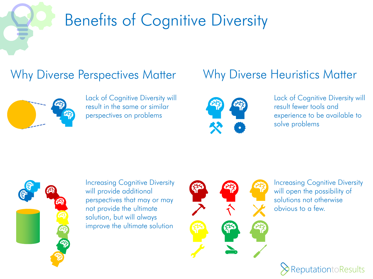

## Benefits of Cognitive Diversity

## Why Diverse Perspectives Matter Mournilly Diverse Heuristics Matter



Lack of Cognitive Diversity will result in the same or similar perspectives on problems



Lack of Cognitive Diversity will result fewer tools and experience to be available to solve problems



Increasing Cognitive Diversity will provide additional perspectives that may or may not provide the ultimate solution, but will always improve the ultimate solution



Increasing Cognitive Diversity will open the possibility of solutions not otherwise obvious to a few.